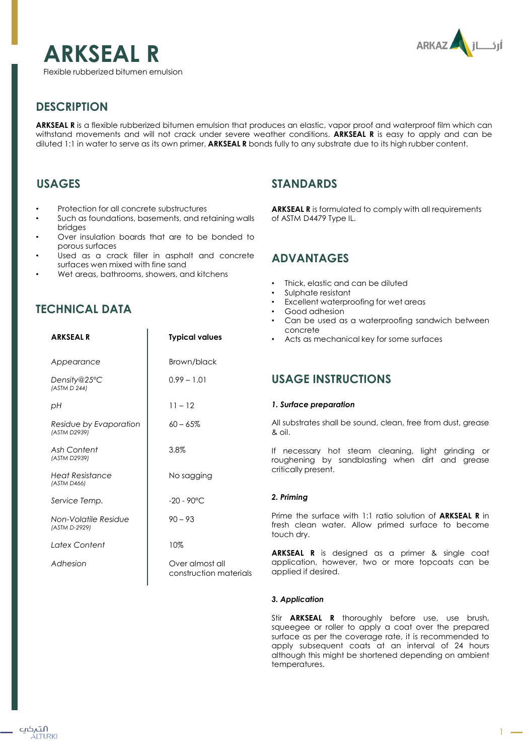



# **DESCRIPTION**

**ARKSEAL R** is a flexible rubberized bitumen emulsion that produces an elastic, vapor proof and waterproof film which can withstand movements and will not crack under severe weather conditions. **ARKSEAL R** is easy to apply and can be diluted 1:1 in water to serve as its own primer, **ARKSEAL R** bonds fully to any substrate due to its high rubber content.

# **USAGES**

- Protection for all concrete substructures
- Such as foundations, basements, and retaining walls bridges
- Over insulation boards that are to be bonded to porous surfaces
- Used as a crack filler in asphalt and concrete surfaces wen mixed with fine sand
- Wet areas, bathrooms, showers, and kitchens

# **TECHNICAL DATA**

| <b>ARKSEALR</b>                        | <b>Typical values</b>                     |
|----------------------------------------|-------------------------------------------|
| Appearance                             | Brown/black                               |
| Density@25°C<br>(ASTM D 244)           | $0.99 - 1.01$                             |
| рH                                     | $11 - 12$                                 |
| Residue by Evaporation<br>(ASTM D2939) | $60 - 65%$                                |
| Ash Content<br>(ASTM D2939)            | 3.8%                                      |
| Heat Resistance<br>(ASTM D466)         | No sagging                                |
| Service Temp.                          | $-20 - 90^{\circ}$ C                      |
| Non-Volatile Residue<br>(ASTM D-2929)  | $90 - 93$                                 |
| Latex Content                          | 10%                                       |
| Adhesion                               | Over almost all<br>construction materials |
|                                        |                                           |

## **STANDARDS**

**ARKSEAL R** is formulated to comply with all requirements of ASTM D4479 Type IL.

### **ADVANTAGES**

- Thick, elastic and can be diluted
- Sulphate resistant
- Excellent waterproofing for wet areas
- Good adhesion
- Can be used as a waterproofing sandwich between concrete
- Acts as mechanical key for some surfaces

## **USAGE INSTRUCTIONS**

### *1. Surface preparation*

All substrates shall be sound, clean, free from dust, grease & oil.

If necessary hot steam cleaning, light grinding or roughening by sandblasting when dirt and grease critically present.

### *2. Priming*

Prime the surface with 1:1 ratio solution of **ARKSEAL R** in fresh clean water. Allow primed surface to become touch dry.

**ARKSEAL R** is designed as a primer & single coat application, however, two or more topcoats can be applied if desired.

### *3. Application*

Stir **ARKSEAL R** thoroughly before use, use brush, squeegee or roller to apply a coat over the prepared surface as per the coverage rate, it is recommended to apply subsequent coats at an interval of 24 hours although this might be shortened depending on ambient temperatures.

 $1 -$